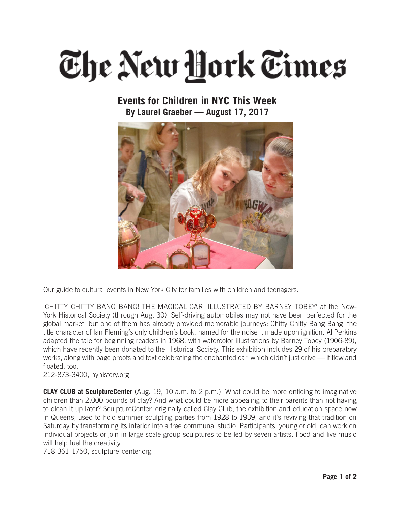## The New Hork Times

## **Events for Children in NYC This Week By Laurel Graeber — August 17, 2017**



Our guide to cultural events in New York City for families with children and teenagers.

'CHITTY CHITTY BANG BANG! THE MAGICAL CAR, ILLUSTRATED BY BARNEY TOBEY' at the New-York Historical Society (through Aug. 30). Self-driving automobiles may not have been perfected for the global market, but one of them has already provided memorable journeys: Chitty Chitty Bang Bang, the title character of Ian Fleming's only children's book, named for the noise it made upon ignition. Al Perkins adapted the tale for beginning readers in 1968, with watercolor illustrations by Barney Tobey (1906-89), which have recently been donated to the Historical Society. This exhibition includes 29 of his preparatory works, along with page proofs and text celebrating the enchanted car, which didn't just drive — it flew and floated, too.

212-873-3400, nyhistory.org

**CLAY CLUB at SculptureCenter** (Aug. 19, 10 a.m. to 2 p.m.). What could be more enticing to imaginative children than 2,000 pounds of clay? And what could be more appealing to their parents than not having to clean it up later? SculptureCenter, originally called Clay Club, the exhibition and education space now in Queens, used to hold summer sculpting parties from 1928 to 1939, and it's reviving that tradition on Saturday by transforming its interior into a free communal studio. Participants, young or old, can work on individual projects or join in large-scale group sculptures to be led by seven artists. Food and live music will help fuel the creativity.

718-361-1750, sculpture-center.org